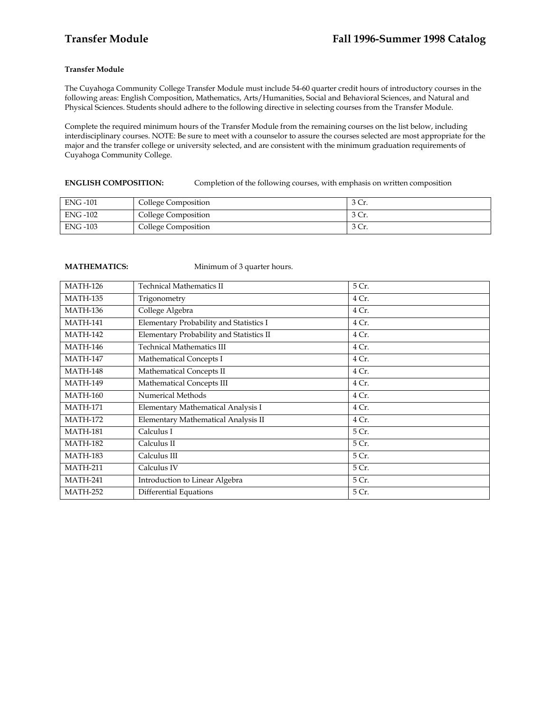# **Transfer Module**

The Cuyahoga Community College Transfer Module must include 54-60 quarter credit hours of introductory courses in the following areas: English Composition, Mathematics, Arts/Humanities, Social and Behavioral Sciences, and Natural and Physical Sciences. Students should adhere to the following directive in selecting courses from the Transfer Module.

Complete the required minimum hours of the Transfer Module from the remaining courses on the list below, including interdisciplinary courses. NOTE: Be sure to meet with a counselor to assure the courses selected are most appropriate for the major and the transfer college or university selected, and are consistent with the minimum graduation requirements of Cuyahoga Community College.

## **ENGLISH COMPOSITION:** Completion of the following courses, with emphasis on written composition

| ENG -101        | College Composition | J UT. |
|-----------------|---------------------|-------|
| <b>ENG -102</b> | College Composition | J UT. |
| <b>ENG-103</b>  | College Composition | JU.   |

**MATHEMATICS:** Minimum of 3 quarter hours.

| <b>MATH-126</b> | <b>Technical Mathematics II</b>          | 5 Cr. |
|-----------------|------------------------------------------|-------|
| <b>MATH-135</b> | Trigonometry                             | 4 Cr. |
| <b>MATH-136</b> | College Algebra                          | 4 Cr. |
| <b>MATH-141</b> | Elementary Probability and Statistics I  | 4 Cr. |
| <b>MATH-142</b> | Elementary Probability and Statistics II | 4 Cr. |
| <b>MATH-146</b> | <b>Technical Mathematics III</b>         | 4 Cr. |
| <b>MATH-147</b> | Mathematical Concepts I                  | 4 Cr. |
| <b>MATH-148</b> | Mathematical Concepts II                 | 4 Cr. |
| <b>MATH-149</b> | Mathematical Concepts III                | 4 Cr. |
| <b>MATH-160</b> | Numerical Methods                        | 4 Cr. |
| <b>MATH-171</b> | Elementary Mathematical Analysis I       | 4 Cr. |
| <b>MATH-172</b> | Elementary Mathematical Analysis II      | 4 Cr. |
| <b>MATH-181</b> | Calculus I                               | 5 Cr. |
| <b>MATH-182</b> | Calculus II                              | 5 Cr. |
| <b>MATH-183</b> | Calculus III                             | 5 Cr. |
| <b>MATH-211</b> | Calculus IV                              | 5 Cr. |
| <b>MATH-241</b> | Introduction to Linear Algebra           | 5 Cr. |
| <b>MATH-252</b> | Differential Equations                   | 5 Cr. |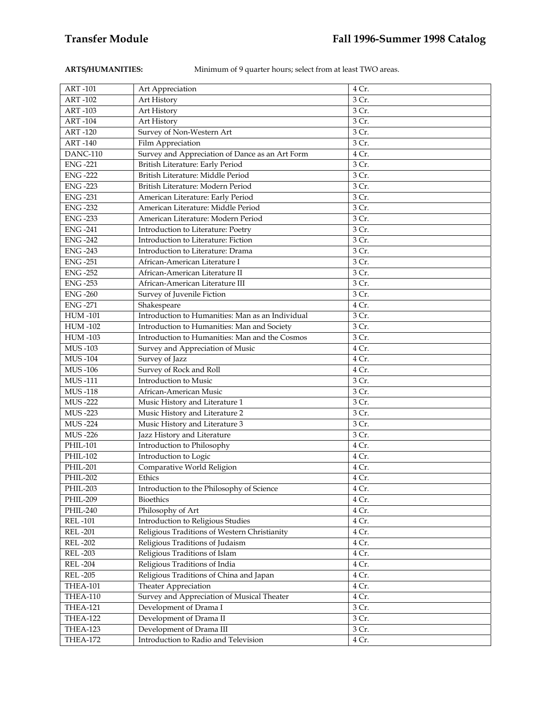**ARTS/HUMANITIES:** Minimum of 9 quarter hours; select from at least TWO areas.

| <b>ART-101</b>  | Art Appreciation                                 | 4 Cr. |
|-----------------|--------------------------------------------------|-------|
| <b>ART-102</b>  | Art History                                      | 3 Cr. |
| <b>ART-103</b>  | Art History                                      | 3 Cr. |
| <b>ART-104</b>  | Art History                                      | 3 Cr. |
| <b>ART-120</b>  | Survey of Non-Western Art                        | 3 Cr. |
| <b>ART-140</b>  | Film Appreciation                                | 3 Cr. |
| <b>DANC-110</b> | Survey and Appreciation of Dance as an Art Form  | 4 Cr. |
| <b>ENG-221</b>  | British Literature: Early Period                 | 3 Cr. |
| <b>ENG-222</b>  | British Literature: Middle Period                | 3 Cr. |
| <b>ENG -223</b> | British Literature: Modern Period                | 3 Cr. |
| <b>ENG-231</b>  | American Literature: Early Period                | 3 Cr. |
| <b>ENG -232</b> | American Literature: Middle Period               | 3 Cr. |
| <b>ENG -233</b> | American Literature: Modern Period               | 3 Cr. |
| <b>ENG-241</b>  | Introduction to Literature: Poetry               | 3 Cr. |
| <b>ENG-242</b>  | Introduction to Literature: Fiction              | 3 Cr. |
| <b>ENG -243</b> | Introduction to Literature: Drama                | 3 Cr. |
| <b>ENG-251</b>  | African-American Literature I                    | 3 Cr. |
| <b>ENG -252</b> | African-American Literature II                   | 3 Cr. |
| <b>ENG-253</b>  | African-American Literature III                  | 3 Cr. |
| <b>ENG-260</b>  | Survey of Juvenile Fiction                       | 3 Cr. |
| <b>ENG-271</b>  | Shakespeare                                      | 4 Cr. |
| <b>HUM-101</b>  | Introduction to Humanities: Man as an Individual | 3 Cr. |
| <b>HUM-102</b>  | Introduction to Humanities: Man and Society      | 3 Cr. |
| <b>HUM-103</b>  | Introduction to Humanities: Man and the Cosmos   | 3 Cr. |
| <b>MUS-103</b>  | Survey and Appreciation of Music                 | 4 Cr. |
| <b>MUS-104</b>  | Survey of Jazz                                   | 4 Cr. |
| <b>MUS-106</b>  | Survey of Rock and Roll                          | 4 Cr. |
| <b>MUS-111</b>  | Introduction to Music                            | 3 Cr. |
| <b>MUS-118</b>  | African-American Music                           | 3 Cr. |
| $MUS - 222$     | Music History and Literature 1                   | 3 Cr. |
| <b>MUS-223</b>  | Music History and Literature 2                   | 3 Cr. |
| <b>MUS-224</b>  | Music History and Literature 3                   | 3 Cr. |
| MUS-226         | Jazz History and Literature                      | 3 Cr. |
| PHIL-101        | Introduction to Philosophy                       | 4 Cr. |
| PHIL-102        | Introduction to Logic                            | 4 Cr. |
| <b>PHIL-201</b> | Comparative World Religion                       | 4 Cr. |
| <b>PHIL-202</b> | Ethics                                           | 4 Cr. |
| <b>PHIL-203</b> | Introduction to the Philosophy of Science        | 4 Cr. |
| PHIL-209        | Bioethics                                        | 4 Cr. |
| PHIL-240        | Philosophy of Art                                | 4 Cr. |
| <b>REL-101</b>  | Introduction to Religious Studies                | 4 Cr. |
| <b>REL-201</b>  | Religious Traditions of Western Christianity     | 4 Cr. |
| <b>REL-202</b>  | Religious Traditions of Judaism                  | 4 Cr. |
| <b>REL-203</b>  | Religious Traditions of Islam                    | 4 Cr. |
| <b>REL-204</b>  | Religious Traditions of India                    | 4 Cr. |
| <b>REL-205</b>  | Religious Traditions of China and Japan          | 4 Cr. |
| THEA-101        | Theater Appreciation                             | 4 Cr. |
| THEA-110        | Survey and Appreciation of Musical Theater       | 4 Cr. |
| THEA-121        | Development of Drama I                           | 3 Cr. |
| THEA-122        | Development of Drama II                          | 3 Cr. |
| THEA-123        | Development of Drama III                         | 3 Cr. |
| THEA-172        | Introduction to Radio and Television             | 4 Cr. |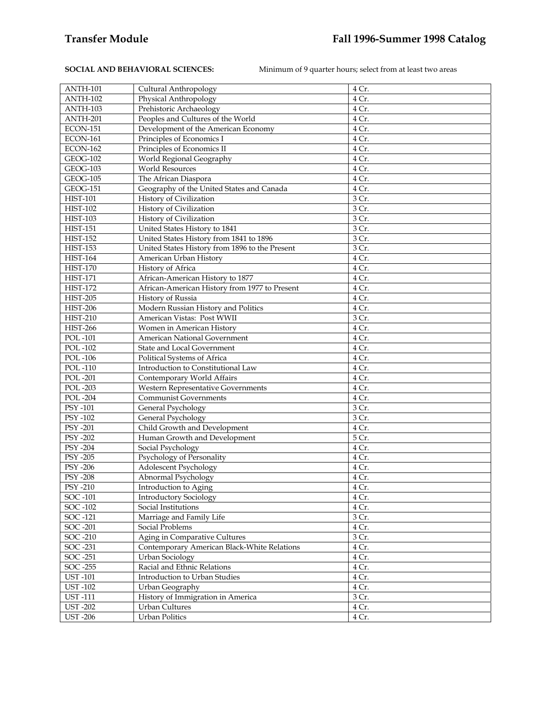**SOCIAL AND BEHAVIORAL SCIENCES:** Minimum of 9 quarter hours; select from at least two areas

| ANTH-101        |                                                | 4 Cr. |
|-----------------|------------------------------------------------|-------|
| ANTH-102        | Cultural Anthropology<br>Physical Anthropology | 4 Cr. |
| ANTH-103        |                                                | 4 Cr. |
|                 | Prehistoric Archaeology                        |       |
| ANTH-201        | Peoples and Cultures of the World              | 4 Cr. |
| ECON-151        | Development of the American Economy            | 4 Cr. |
| ECON-161        | Principles of Economics I                      | 4 Cr. |
| <b>ECON-162</b> | Principles of Economics II                     | 4 Cr. |
| <b>GEOG-102</b> | World Regional Geography                       | 4 Cr. |
| <b>GEOG-103</b> | <b>World Resources</b>                         | 4 Cr. |
| <b>GEOG-105</b> | The African Diaspora                           | 4 Cr. |
| <b>GEOG-151</b> | Geography of the United States and Canada      | 4 Cr. |
| <b>HIST-101</b> | History of Civilization                        | 3 Cr. |
| <b>HIST-102</b> | History of Civilization                        | 3 Cr. |
| <b>HIST-103</b> | History of Civilization                        | 3 Cr. |
| <b>HIST-151</b> | United States History to 1841                  | 3 Cr. |
| <b>HIST-152</b> | United States History from 1841 to 1896        | 3 Cr. |
| <b>HIST-153</b> | United States History from 1896 to the Present | 3 Cr. |
| <b>HIST-164</b> | American Urban History                         | 4 Cr. |
| <b>HIST-170</b> | History of Africa                              | 4 Cr. |
| <b>HIST-171</b> | African-American History to 1877               | 4 Cr. |
| <b>HIST-172</b> | African-American History from 1977 to Present  | 4 Cr. |
| <b>HIST-205</b> | History of Russia                              | 4 Cr. |
| <b>HIST-206</b> | Modern Russian History and Politics            | 4 Cr. |
| <b>HIST-210</b> | American Vistas: Post WWII                     | 3 Cr. |
| <b>HIST-266</b> | Women in American History                      | 4 Cr. |
| POL-101         | American National Government                   | 4 Cr. |
| <b>POL-102</b>  | State and Local Government                     | 4 Cr. |
| <b>POL-106</b>  | Political Systems of Africa                    | 4 Cr. |
| POL-110         | Introduction to Constitutional Law             | 4 Cr. |
| <b>POL-201</b>  | Contemporary World Affairs                     | 4 Cr. |
| <b>POL-203</b>  | Western Representative Governments             | 4 Cr. |
| <b>POL-204</b>  | <b>Communist Governments</b>                   | 4 Cr. |
| PSY -101        | General Psychology                             | 3 Cr. |
| <b>PSY -102</b> | General Psychology                             | 3 Cr. |
| PSY -201        | Child Growth and Development                   | 4 Cr. |
| PSY -202        | Human Growth and Development                   | 5 Cr. |
|                 |                                                |       |
| <b>PSY -204</b> | Social Psychology                              | 4 Cr. |
| <b>PSY -205</b> | Psychology of Personality                      | 4 Cr. |
| <b>PSY -206</b> | Adolescent Psychology                          | 4 Cr. |
| <b>PSY -208</b> | Abnormal Psychology                            | 4 Cr. |
| <b>PSY -210</b> | Introduction to Aging                          | 4 Cr. |
| SOC -101        | Introductory Sociology                         | 4 Cr. |
| SOC -102        | Social Institutions                            | 4 Cr. |
| SOC -121        | Marriage and Family Life                       | 3 Cr. |
| SOC -201        | <b>Social Problems</b>                         | 4 Cr. |
| SOC -210        | Aging in Comparative Cultures                  | 3 Cr. |
| SOC -231        | Contemporary American Black-White Relations    | 4 Cr. |
| SOC -251        | <b>Urban Sociology</b>                         | 4 Cr. |
| <b>SOC -255</b> | Racial and Ethnic Relations                    | 4 Cr. |
| <b>UST-101</b>  | Introduction to Urban Studies                  | 4 Cr. |
| <b>UST-102</b>  | Urban Geography                                | 4 Cr. |
| <b>UST-111</b>  | History of Immigration in America              | 3 Cr. |
| <b>UST-202</b>  | Urban Cultures                                 | 4 Cr. |
| <b>UST-206</b>  | <b>Urban Politics</b>                          | 4 Cr. |